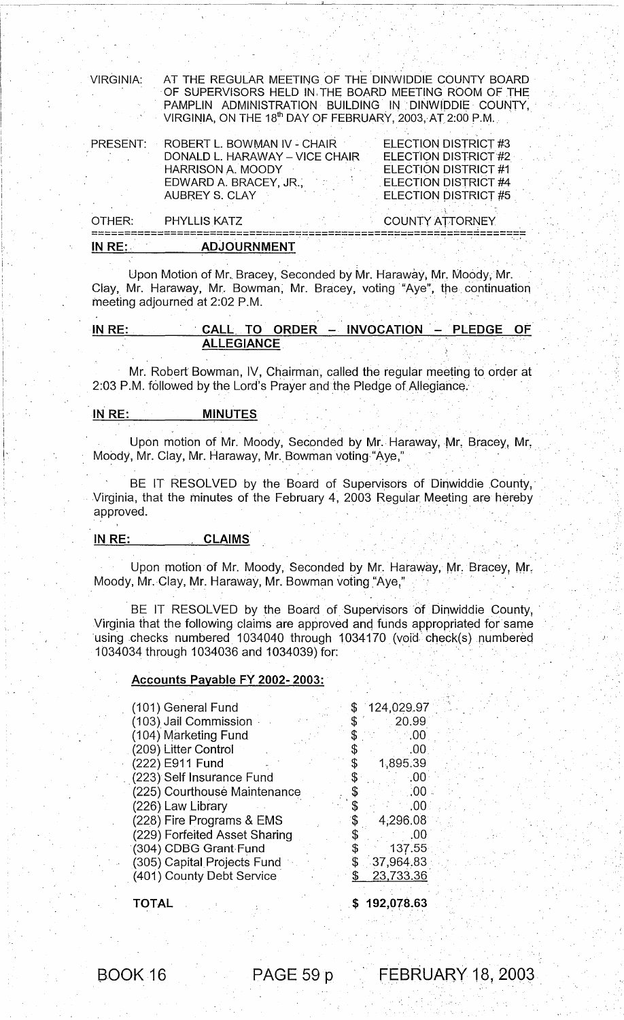AT THE REGULAR MEETING OF THE DINWIDDIE COUNTY BOARD **VIRGINIA:** OF SUPERVISORS HELD IN THE BOARD MEETING ROOM OF THE PAMPLIN ADMINISTRATION BUILDING IN DINWIDDIE COUNTY, VIRGINIA, ON THE 18th DAY OF FEBRUARY, 2003, AT 2:00 P.M.

.~~--.---------~--.~-~----~~~-I~~---"---\_--:--~---------,-~--c-~~~-~~~

| IN RE:   | <b>ADJOURNMENT</b>                                                   |                                                                                           |
|----------|----------------------------------------------------------------------|-------------------------------------------------------------------------------------------|
| OTHER:   | <b>PHYLLIS KATZ</b>                                                  | <b>COUNTY ATTORNEY</b>                                                                    |
|          | <b>HARRISON A. MOODY</b><br>EDWARD A. BRACEY, JR.,<br>AUBREY S. CLAY | <b>ELECTION DISTRICT #1</b><br><b>ELECTION DISTRICT #4</b><br><b>ELECTION DISTRICT #5</b> |
| PRESENT: | ROBERT L. BOWMAN IV - CHAIR<br>DONALD L. HARAWAY - VICE CHAIR        | ELECTION DISTRICT #3<br><b>ELECTION DISTRICT #2</b>                                       |

Upon Motion of Mr. Bracey, Seconded by Mr. Haraway, Mr. Moody, Mr. Clay, Mr. Haraway, Mr. Bowman, Mr. Bracey, voting "Aye", the continuation meeting adjourned at 2:02 P.M.

# IN RE: CALL, TO ORDER - INVOCATION - PLEDGE OF ALLEGIANCE

Mr. Robert Bowman, IV, Chairman, called the regular meeting to order at 2:03 P.M. followed by the Lord's Prayer and the Pledge of Allegiance.

, . The second constraints of the second constraints of the second constraints of the second constraints of the second constraints of the second constraints of the second constraints of the second constraints of the secon

#### IN RE: MINUTES

! .

Upon motion of Mr. Moody, Seconded by Mr. Haraway, Mr, Bracey, Mr, . <u>IN RE: \_\_\_\_\_\_\_\_\_\_MINUTES</u><br>Upon\_motion\_of\_Mr. Moody, Seconded by Mr. Haraway, Mr. Bracey, Mr.<br>Moody, Mr. Clay, Mr. Haraway, Mr. Bowman voting "Aye,"

BE IT RESOLVED by the Board of Supervisors of Dinwiddie County, Virginia, that the minutes of the February 4, 2003 Regular Meeting are hereby approved. Mr. Clay, Mr. Haraway, Mr. Bowman voting "Aye,"<br>
BE IT RESOLVED by the Board of Supervisors of Dinwiddie County,<br>
a, that the minutes of the February 4, 2003 Regular Meeting are hereby<br>
ed.<br> **CLAIMS**<br>
Upon motion of Mr. Mo

#### IN RE: GLAIMS

Upon motion of Mr. Moody, Seconded by Mr. Haraway, Mr. Bracey, Mr. Moody, Mr. Clay, Mr. Haraway, Mr. Bowman voting "Aye,"

BE IT RESOLVED by the Board of Supervisors of Dinwiddie County, Virginia that the following claims are approved and funds appropriated for same using checks numbered 1034040 through 1034170 (void check(s) numbered , I am a st BE IT RESOLVED by the Board of Supervisors of Dinwiddie County<br>Virginia that the following claims are approved and funds appropriated for same<br>using checks numbered 1034040 through 1034170 (void check(s) numbered<br>1034034 t

#### Accounts Payable FY 2002· 2003:

| (101) General Fund            | 124,029.97   |
|-------------------------------|--------------|
| (103) Jail Commission         | 20.99        |
| (104) Marketing Fund          | .00          |
| (209) Litter Control          | .00          |
| (222) E911 Fund               | 1,895.39     |
| (223) Self Insurance Fund     | $00^{\circ}$ |
| (225) Courthousé Maintenance  | 00.          |
| (226) Law Library             | .00          |
| (228) Fire Programs & EMS     | 4,296.08     |
| (229) Forfeited Asset Sharing | -00          |
| (304) CDBG Grant Fund         | 137.55       |
| (305) Capital Projects Fund   | 37,964.83    |
| (401) County Debt Service     | 23,733.36    |
|                               |              |

#### TOTAL

 $$192,078.63$ 

{300K16 PAGE 59 P

**FEBRUARY 18, 2003**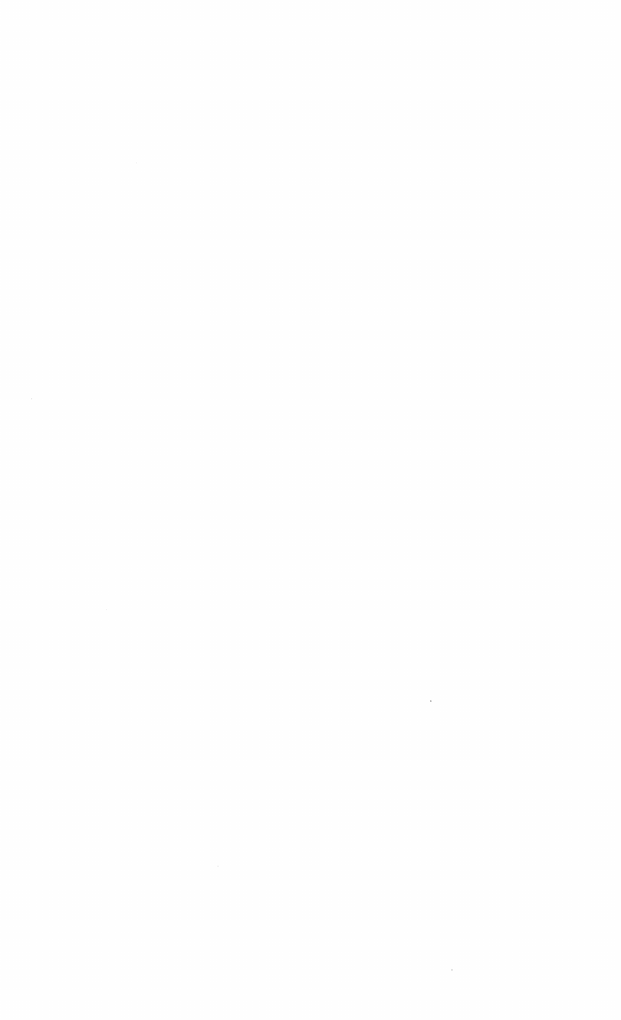$\label{eq:2.1} \frac{1}{\sqrt{2}}\left(\frac{1}{\sqrt{2}}\right)^{2} \left(\frac{1}{\sqrt{2}}\right)^{2} \left(\frac{1}{\sqrt{2}}\right)^{2} \left(\frac{1}{\sqrt{2}}\right)^{2} \left(\frac{1}{\sqrt{2}}\right)^{2} \left(\frac{1}{\sqrt{2}}\right)^{2} \left(\frac{1}{\sqrt{2}}\right)^{2} \left(\frac{1}{\sqrt{2}}\right)^{2} \left(\frac{1}{\sqrt{2}}\right)^{2} \left(\frac{1}{\sqrt{2}}\right)^{2} \left(\frac{1}{\sqrt{2}}\right)^{2} \left(\$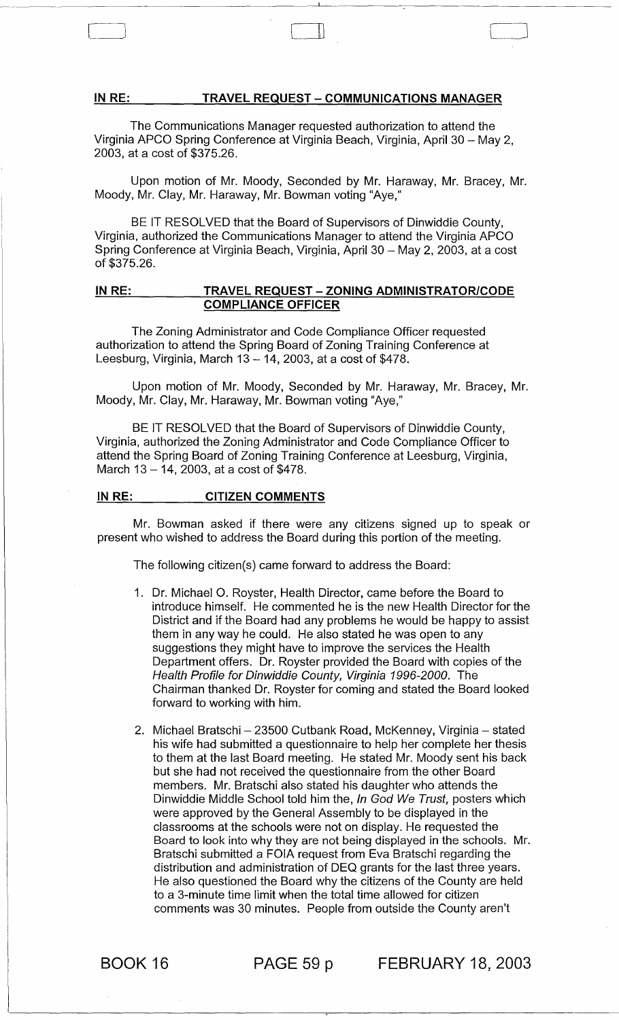# **IN** RE: **TRAVEL REQUEST - COMMUNICATIONS MANAGER**

[] til [ ]

The Communications Manager requested authorization to attend the Virginia APCO Spring Conference at Virginia Beach, Virginia, April 30 - May 2, 2003, at a cost of \$375.26.

Upon motion of Mr. Moody, Seconded by Mr. Haraway, Mr. Bracey, Mr. Moody, Mr. Clay, Mr. Haraway, Mr. Bowman voting "Aye,"

BE IT RESOLVED that the Board of Supervisors of Dinwiddie County, Virginia, authorized the Communications Manager to attend the Virginia APCO Spring Conference at Virginia Beach, Virginia, April 30 - May 2, 2003, at a cost of \$375.26.

#### **IN** RE: **TRAVEL REQUEST - ZONING ADMINISTRATOR/CODE COMPLIANCE OFFICER**

The Zoning Administrator and Code Compliance Officer requested authorization to attend the Spring Board of Zoning Training Conference at Leesburg, Virginia, March  $13 - 14$ , 2003, at a cost of \$478.

Upon motion of Mr. Moody, Seconded by Mr. Haraway, Mr. Bracey, Mr. Moody, Mr. Clay, Mr. Haraway, Mr. Bowman voting "Aye,"

BE IT RESOLVED that the Board of Supervisors of Dinwiddie County, Virginia, authorized the Zoning Administrator and Code Compliance Officer to attend the Spring Board of Zoning Training Conference at Leesburg, Virginia, March  $13 - 14$ , 2003, at a cost of \$478.

#### **IN** RE: **CITIZEN COMMENTS**

~--.. -~-~- ~~~~~~.

Mr. Bowman asked if there were any citizens signed up to speak or present who wished to address the Board during this portion of the meeting.

The following citizen(s) came forward to address the Board:

- 1. Dr. Michael O. Royster, Health Director, came before the Board to introduce himself. He commented he is the new Health Director for the District and if the Board had any problems he would be happy to assist them in any way he could. He also stated he was open to any suggestions they might have to improve the services the Health Department offers. Dr. Royster provided the Board with copies of the Health Profile for Dinwiddie County, Virginia 1996-2000. The Chairman thanked Dr. Royster for coming and stated the Board looked forward to working with him.
- 2. Michael Bratschi 23500 Cutbank Road, McKenney, Virginia stated his wife had submitted a questionnaire to help her complete her thesis to them at the last Board meeting. He stated Mr. Moody sent his back but she had not received the questionnaire from the other Board members. Mr. Bratschi also stated his daughter who attends the Dinwiddie Middle School told him the, In God We Trust, posters which were approved by the General Assembly to be displayed in the classrooms at the schools were not on display. He requested the Board to look into why they are not being displayed in the schools. Mr. Bratschi submitted a FOIA request from Eva Bratschi regarding the distribution and administration of DEQ grants for the last three years. He also questioned the Board why the citizens of the County are held to a 3-minute time limit when the total time allowed for citizen comments was 30 minutes. People from outside the County aren't

BOOK 16 PAGE 59 p FEBRUARY 18, 2003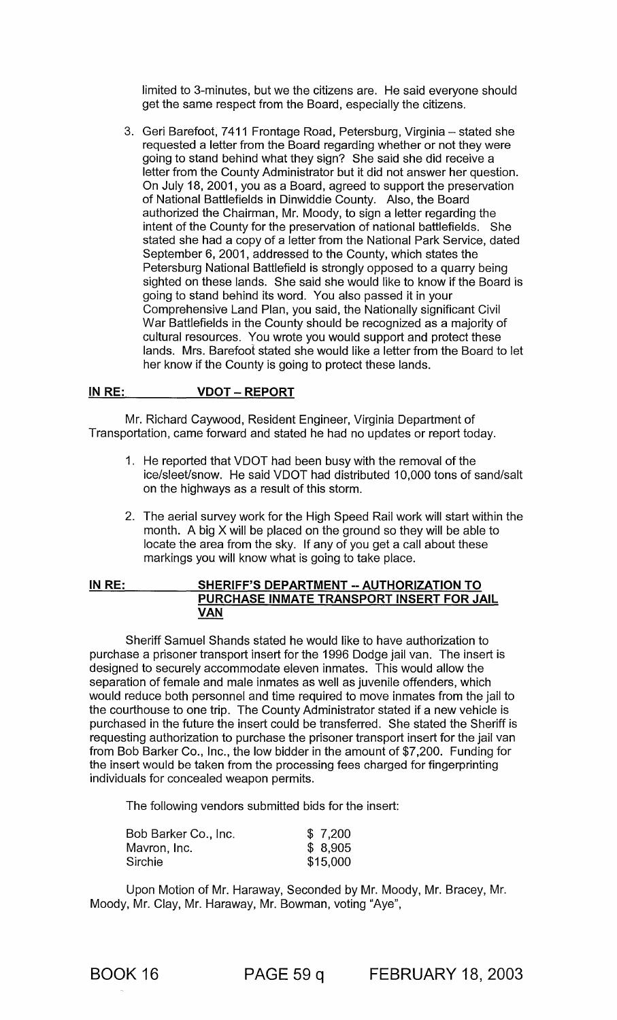limited to 3-minutes, but we the citizens are. He said everyone should get the same respect from the Board, especially the citizens.

3. Geri Barefoot, 7411 Frontage Road, Petersburg, Virginia - stated she requested a letter from the Board regarding whether or not they were going to stand behind what they sign? She said she did receive a letter from the County Administrator but it did not answer her question. On July 18, 2001, you as a Board, agreed to support the preservation of National Battlefields in Dinwiddie County. Also, the Board authorized the Chairman, Mr. Moody, to sign a letter regarding the intent of the County for the preservation of national battlefields. She stated she had a copy of a letter from the National Park Service, dated September 6,2001, addressed to the County, which states the Petersburg National Battlefield is strongly opposed to a quarry being sighted on these lands. She said she would like to know if the Board is going to stand behind its word. You also passed it in your Comprehensive Land Plan, you said, the Nationally significant Civil War Battlefields in the County should be recognized as a majority of cultural resources. You wrote you would support and protect these lands. Mrs. Barefoot stated she would like a letter from the Board to let her know if the County is going to protect these lands.

#### IN RE: VDOT - REPORT

Mr. Richard Caywood, Resident Engineer, Virginia Department of Transportation, came forward and stated he had no updates or report today.

- 1. He reported that VDOT had been busy with the removal of the ice/sleet/snow. He said VDOT had distributed 10,000 tons of sand/salt on the highways as a result of this storm.
- 2. The aerial survey work for the High Speed Rail work will start within the month. A big X will be placed on the ground so they will be able to locate the area from the sky. If any of you get a call about these markings you will know what is going to take place.

#### IN RE: SHERIFF'S DEPARTMENT -- AUTHORIZATION TO PURCHASE INMATE TRANSPORT INSERT FOR JAIL VAN

Sheriff Samuel Shands stated he would like to have authorization to purchase a prisoner transport insert for the 1996 Dodge jail van. The insert is designed to securely accommodate eleven inmates. This would allow the separation of female and male inmates as well as juvenile offenders, which would reduce both personnel and time required to move inmates from the jail to the courthouse to one trip. The County Administrator stated if a new vehicle is purchased in the future the insert could be transferred. She stated the Sheriff is requesting authorization to purchase the prisoner transport insert for the jail van from Bob Barker Co., Inc., the low bidder in the amount of \$7,200. Funding for the insert would be taken from the processing fees charged for fingerprinting individuals for concealed weapon permits.

The following vendors submitted bids for the insert:

| Bob Barker Co., Inc. | \$7,200  |
|----------------------|----------|
| Mavron, Inc.         | \$8,905  |
| Sirchie              | \$15,000 |

Upon Motion of Mr. Haraway, Seconded by Mr. Moody, Mr. Bracey, Mr. Moody, Mr. Clay, Mr. Haraway, Mr. Bowman, voting "Aye",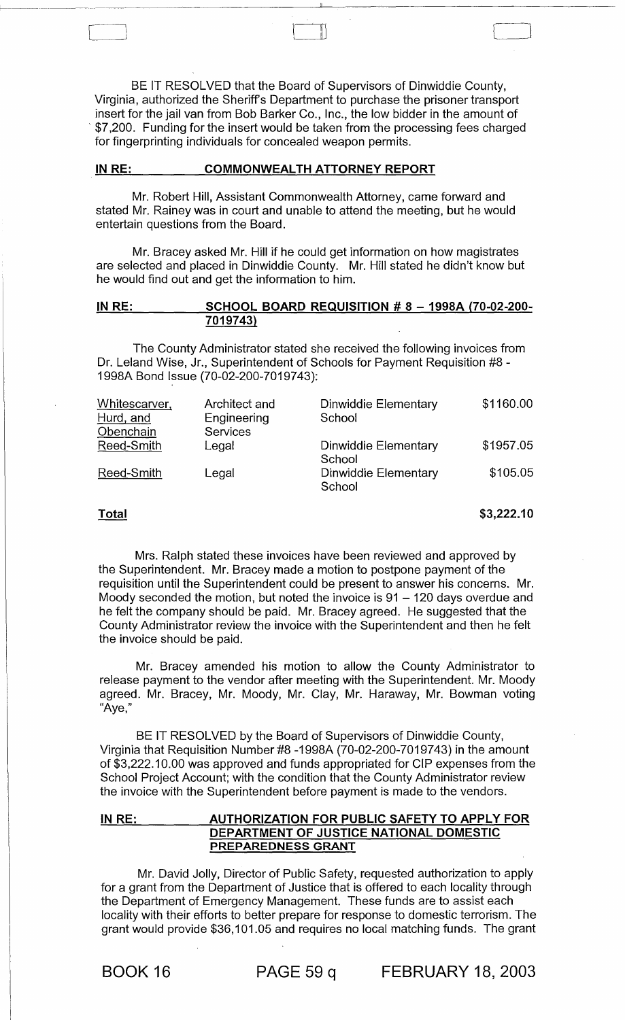BE IT RESOLVED that the Board of Supervisors of Dinwiddie County, Virginia, authorized the Sheriff's Department to purchase the prisoner transport insert for the jail van from Bob Barker Co., Inc., the low bidder in the amount of \$7,200. Funding for the insert would be taken from the processing fees charged for fingerprinting individuals for concealed weapon permits.

 $\begin{smallmatrix} \begin{smallmatrix} 1 & 1 & 1 \end{smallmatrix} \end{smallmatrix}$ 

#### IN RE: COMMONWEALTH ATTORNEY REPORT

Mr. Robert Hill, Assistant Commonwealth Attorney, came forward and stated Mr. Rainey was in court and unable to attend the meeting, but he would entertain questions from the Board.

Mr. Bracey asked Mr. Hill if he could get information on how magistrates are selected and placed in Dinwiddie County. Mr. Hill stated he didn't know but he would find out and get the information to him.

# IN RE: SCHOOL BOARD REQUISITION # 8 - 1998A (70-02-200-7019743)

The County Administrator stated she received the following invoices from Dr. Leland Wise, Jr., Superintendent of Schools for Payment Requisition #8 - 1998A Bond Issue (70-02-200-7019743):

| Whitescarver, | Architect and | Dinwiddie Elementary           | \$1160.00 |
|---------------|---------------|--------------------------------|-----------|
| Hurd, and     | Engineering   | School                         |           |
| Obenchain     | Services      |                                |           |
| Reed-Smith    | Legal         | Dinwiddie Elementary<br>School | \$1957.05 |
| Reed-Smith    | Legal         | Dinwiddie Elementary<br>School | \$105.05  |

### **Total** \$3,222.10

Mrs. Ralph stated these invoices have been reviewed and approved by the Superintendent. Mr. Bracey made a motion to postpone payment of the requisition until the Superintendent could be present to answer his concerns. Mr. Moody seconded the motion, but noted the invoice is  $91 - 120$  days overdue and he felt the company should be paid. Mr. Bracey agreed. He suggested that the County Administrator review the invoice with the Superintendent and then he felt the invoice should be paid.

Mr. Bracey amended his motion to allow the County Administrator to release payment to the vendor after meeting with the Superintendent. Mr. Moody agreed. Mr. Bracey, Mr. Moody, Mr. Clay, Mr. Haraway, Mr. Bowman voting "Aye,"

BE IT RESOLVED by the Board of Supervisors of Dinwiddie County, Virginia that Requisition Number #8 -1998A (70-02-200-7019743) in the amount of \$3,222.1 0.00 was approved and funds appropriated for CIP expenses from the School Project Account; with the condition that the County Administrator review the invoice with the Superintendent before payment is made to the vendors.

# IN RE: \_\_\_\_\_\_\_\_\_\_ AUTHORIZATION FOR PUBLIC SAFETY TO APPLY FOR DEPARTMENT OF JUSTICE NATIONAL DOMESTIC PREPAREDNESS GRANT

Mr. David Jolly, Director of Public Safety, requested authorization to apply for a grant from the Department of Justice that is offered to each locality through the Department of Emergency Management. These funds are to assist each locality with their efforts to better prepare for response to domestic terrorism. The grant would provide \$36,101.05 and requires no local matching funds. The grant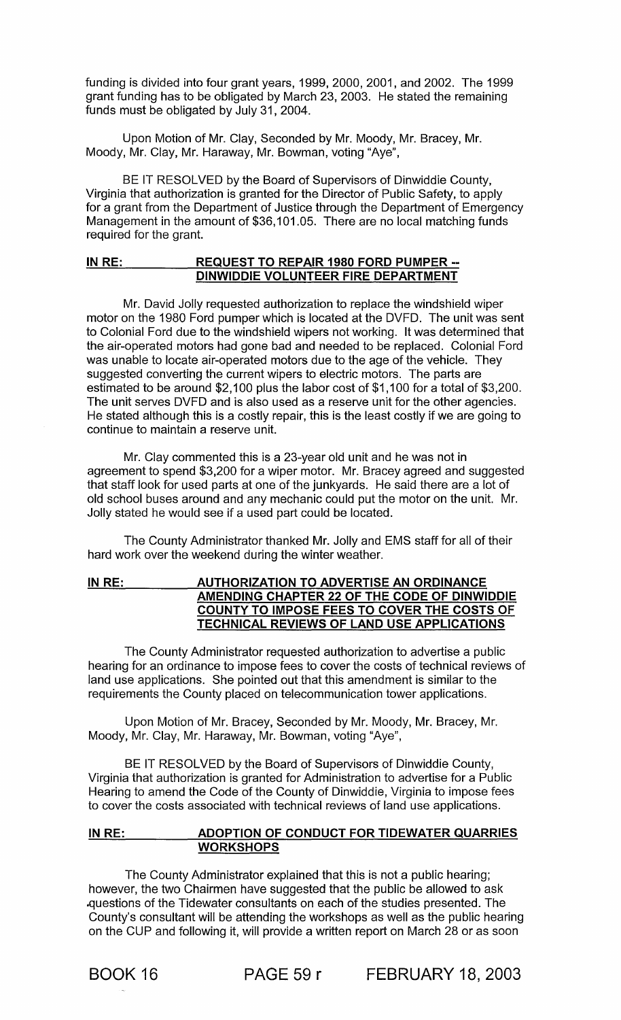funding is divided into four grant years, 1999, 2000, 2001, and 2002. The 1999 grant funding has to be obligated by March 23, 2003. He stated the remaining funds must be obligated by July 31,2004.

Upon Motion of Mr. Clay, Seconded by Mr. Moody, Mr. Bracey, Mr. Moody, Mr. Clay, Mr. Haraway, Mr. Bowman, voting "Aye",

BE IT RESOLVED by the Board of Supervisors of Dinwiddie County, Virginia that authorization is granted for the Director of Public Safety, to apply for a grant from the Department of Justice through the Department of Emergency Management in the amount of \$36,101.05. There are no local matching funds required for the grant.

# IN RE: REQUEST TO REPAIR 1980 FORD PUMPER --DINWIDDIE VOLUNTEER FIRE DEPARTMENT

Mr. David Jolly requested authorization to replace the windshield wiper motor on the 1980 Ford pumper which is located at the DVFD. The unit was sent to Colonial Ford due to the windshield wipers not working. It was determined that the air-operated motors had gone bad and needed to be replaced. Colonial Ford was unable to locate air-operated motors due to the age of the vehicle. They suggested converting the current wipers to electric motors. The parts are estimated to be around \$2,100 plus the labor cost of \$1,100 for a total of \$3,200. The unit serves DVFD and is also used as a reserve unit for the other agencies. He stated although this is a costly repair, this is the least costly if we are going to continue to maintain a reserve unit.

Mr. Clay commented this is a 23-year old unit and he was not in agreement to spend \$3,200 for a wiper motor. Mr. Bracey agreed and suggested that staff look for used parts at one of the junkyards. He said there are a lot of old school buses around and any mechanic could put the motor on the unit. Mr. Jolly stated he would see if a used part could be located.

The County Administrator thanked Mr. Jolly and EMS staff for all of their hard work over the weekend during the winter weather.

# IN RE: AUTHORIZATION TO ADVERTISE AN ORDINANCE AMENDING CHAPTER 22 OF THE CODE OF DINWIDDIE COUNTY TO IMPOSE FEES TO COVER THE COSTS OF TECHNICAL REVIEWS OF LAND USE APPLICATIONS

The County Administrator requested authorization to advertise a public hearing for an ordinance to impose fees to cover the costs of technical reviews of land use applications. She pointed out that this amendment is similar to the requirements the County placed on telecommunication tower applications.

Upon Motion of Mr. Bracey, Seconded by Mr. Moody, Mr. Bracey, Mr. Moody, Mr. Clay, Mr. Haraway, Mr. Bowman, voting "Aye",

BE IT RESOLVED by the Board of Supervisors of Dinwiddie County, Virginia that authorization is granted for Administration to advertise for a Public Hearing to amend the Code of the County of Dinwiddie, Virginia to impose fees to cover the costs associated with technical reviews of land use applications.

# IN RE: ADOPTION OF CONDUCT FOR TIDEWATER QUARRIES **WORKSHOPS**

The County Administrator explained that this is not a public hearing; however, the two Chairmen have suggested that the public be allowed to ask .questions of the Tidewater consultants on each of the studies presented. The County's consultant will be attending the workshops as well as the public hearing on the CUP and following it, will provide a written report on March 28 or as soon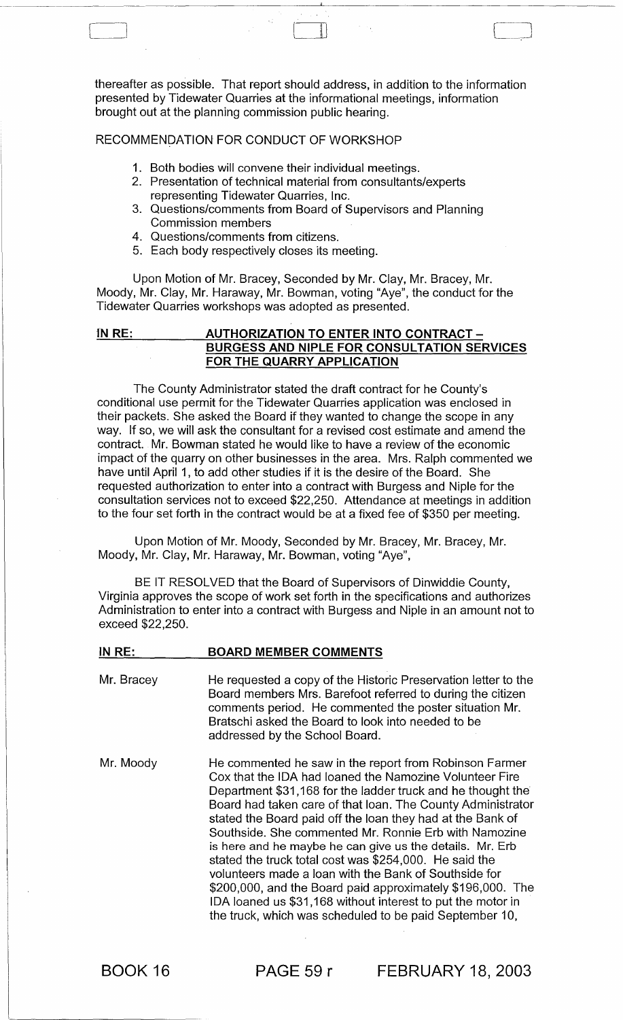thereafter as possible. That report should address, in addition to the information presented by Tidewater Quarries at the informational meetings, information brought out at the planning commission public hearing.

RECOMMENDATION FOR CONDUCT OF WORKSHOP

 $\begin{pmatrix} 1 & 1 & 1 \\ 1 & 1 & 1 \\ 1 & 1 & 1 \end{pmatrix}$ 

- 1. Both bodies will convene their individual meetings.
- 2. Presentation of technical material from consultants/experts representing Tidewater Quarries, Inc.
- 3. Questions/comments from Board of Supervisors and Planning Commission members
- 4. Questions/comments from citizens.
- 5. Each body respectively closes its meeting.

Upon Motion of Mr. Bracey, Seconded by Mr. Clay, Mr. Bracey, Mr. Moody, Mr. Clay, Mr. Haraway, Mr. Bowman, voting "Aye", the conduct for the Tidewater Quarries workshops was adopted as presented.

# **IN** RE: **AUTHORIZATION TO ENTER INTO CONTRACT - BURGESS AND NIPLE FOR CONSULTATION SERVICES FOR THE QUARRY APPLICATION**

The County Administrator stated the draft contract for he County's conditional use permit for the Tidewater Quarries application was enclosed in their packets. She asked the Board if they wanted to change the scope in any way. If so, we will ask the consultant for a revised cost estimate and amend the contract. Mr. Bowman stated he would like to have a review of the economic impact of the quarry on other businesses in the area. Mrs. Ralph commented we have until April 1, to add other studies if it is the desire of the Board. She requested authorization to enter into a contract with Burgess and Niple for the consultation services not to exceed \$22,250. Attendance at meetings in addition to the four set forth in the contract would be at a fixed fee of \$350 per meeting.

Upon Motion of Mr. Moody, Seconded by Mr. Bracey, Mr. Bracey, Mr. Moody, Mr. Clay, Mr. Haraway, Mr. Bowman, voting "Aye",

BE IT RESOLVED that the Board of Supervisors of Dinwiddie County, Virginia approves the scope of work set forth in the specifications and authorizes Administration to enter into a contract with Burgess and Niple in an amount not to exceed \$22,250.

| IN RE:     | <b>BOARD MEMBER COMMENTS</b>                                                                                                                                                                                                                                                                                                                                                                                                                                                                                                                                                                                                                                                                                                                  |
|------------|-----------------------------------------------------------------------------------------------------------------------------------------------------------------------------------------------------------------------------------------------------------------------------------------------------------------------------------------------------------------------------------------------------------------------------------------------------------------------------------------------------------------------------------------------------------------------------------------------------------------------------------------------------------------------------------------------------------------------------------------------|
| Mr. Bracey | He requested a copy of the Historic Preservation letter to the<br>Board members Mrs. Barefoot referred to during the citizen<br>comments period. He commented the poster situation Mr.<br>Bratschi asked the Board to look into needed to be<br>addressed by the School Board.                                                                                                                                                                                                                                                                                                                                                                                                                                                                |
| Mr. Moody  | He commented he saw in the report from Robinson Farmer<br>Cox that the IDA had loaned the Namozine Volunteer Fire<br>Department \$31,168 for the ladder truck and he thought the<br>Board had taken care of that loan. The County Administrator<br>stated the Board paid off the loan they had at the Bank of<br>Southside, She commented Mr. Ronnie Erb with Namozine<br>is here and he maybe he can give us the details. Mr. Erb<br>stated the truck total cost was \$254,000. He said the<br>volunteers made a loan with the Bank of Southside for<br>\$200,000, and the Board paid approximately \$196,000. The<br>IDA loaned us \$31,168 without interest to put the motor in<br>the truck, which was scheduled to be paid September 10, |

BOOK 16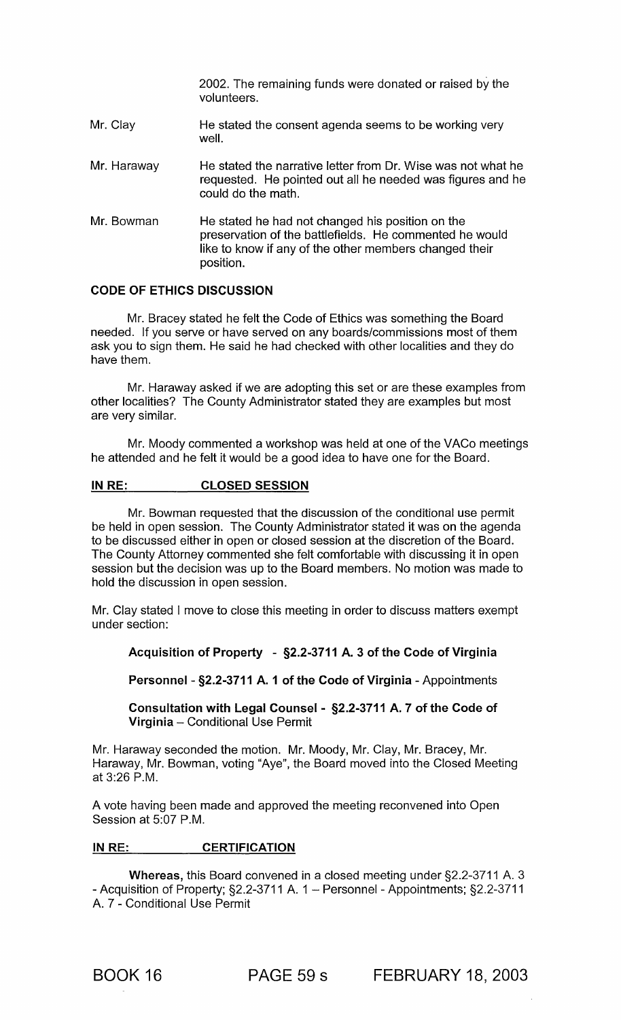|             | 2002. The remaining funds were donated or raised by the<br>volunteers.                                                                                                             |
|-------------|------------------------------------------------------------------------------------------------------------------------------------------------------------------------------------|
| Mr. Clay    | He stated the consent agenda seems to be working very<br>well.                                                                                                                     |
| Mr. Haraway | He stated the narrative letter from Dr. Wise was not what he<br>requested. He pointed out all he needed was figures and he<br>could do the math.                                   |
| Mr. Bowman  | He stated he had not changed his position on the<br>preservation of the battlefields. He commented he would<br>like to know if any of the other members changed their<br>position. |

# CODE OF ETHICS DISCUSSION

Mr. Bracey stated he felt the Code of Ethics was something the Board needed. If you serve or have served on any boards/commissions most of them ask you to sign them. He said he had checked with other localities and they do have them.

Mr. Haraway asked if we are adopting this set or are these examples from other localities? The County Administrator stated they are examples but most are very similar.

Mr. Moody commented a workshop was held at one of the VACo meetings he attended and he felt it would be a good idea to have one for the Board.

# IN RE: CLOSED SESSION

Mr. Bowman requested that the discussion of the conditional use permit be held in open session. The County Administrator stated it was on the agenda to be discussed either in open or closed session at the discretion of the Board. The County Attorney commented she felt comfortable with discussing it in open session but the decision was up to the Board members. No motion was made to hold the discussion in open session.

Mr. Clay stated I move to close this meeting in order to discuss matters exempt under section:

Acquisition of Property - §2.2-3711 A. 3 of the Code of Virginia

Personnel - §2.2-3711 A. 1 of the Code of Virginia - Appointments

Consultation with Legal Counsel - §2.2-3711 A. 7 of the Code of Virginia - Conditional Use Permit

Mr. Haraway seconded the motion. Mr. Moody, Mr. Clay, Mr. Bracey, Mr. Haraway, Mr. Bowman, voting "Aye", the Board moved into the Closed Meeting at 3:26 P.M.

A vote having been made and approved the meeting reconvened into Open Session at 5:07 P.M.

# IN RE: CERTIFICATION

Whereas, this Board convened in a closed meeting under §2.2-3711 A. 3 - Acquisition of Property; §2.2-3711 A. 1 - Personnel - Appointments; §2.2-3711 A. 7 - Conditional Use Permit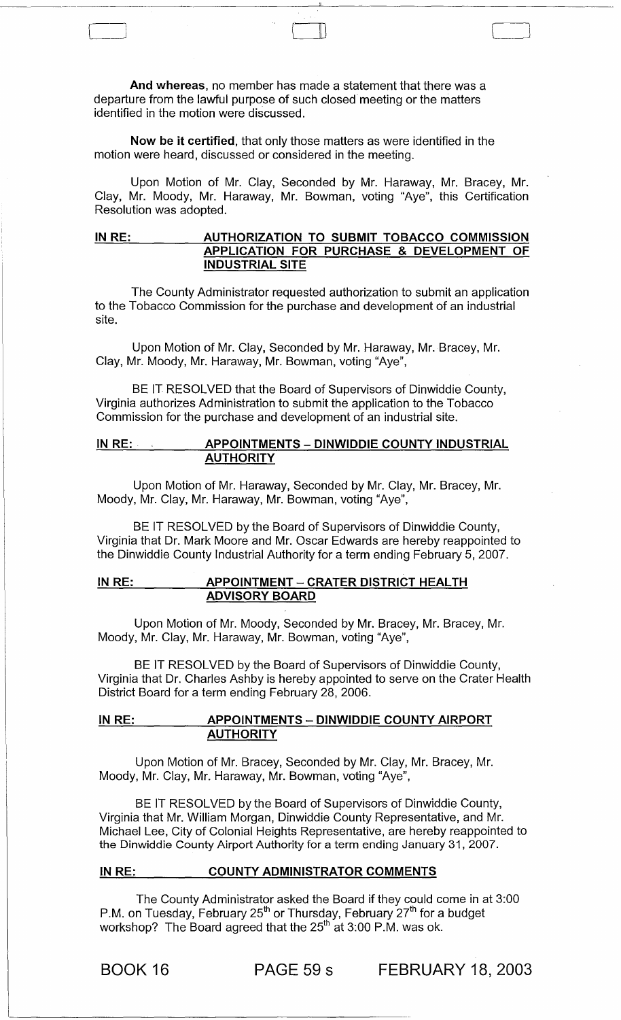And whereas, no member has made a statement that there was a departure from the lawful purpose of such closed meeting or the matters identified in the motion were discussed.

Now be it certified, that only those matters as were identified in the motion were heard, discussed or considered in the meeting.

Upon Motion of Mr. Clay, Seconded by Mr. Haraway, Mr. Bracey, Mr. Clay, Mr. Moody, Mr. Haraway, Mr. Bowman, voting "Aye", this Certification Resolution was adopted.

 $\mathbb{L}$ 

## IN RE: AUTHORIZATION TO SUBMIT TOBACCO COMMISSION APPLICATION FOR PURCHASE & DEVELOPMENT OF INDUSTRIAL SITE

The County Administrator requested authorization to submit an application to the Tobacco Commission for the purchase and development of an industrial site.

Upon Motion of Mr. Clay, Seconded by Mr. Haraway, Mr. Bracey, Mr. Clay, Mr. Moody, Mr. Haraway, Mr. Bowman, voting "Aye",

BE IT RESOLVED that the Board of Supervisors of Dinwiddie County, Virginia authorizes Administration to submit the application to the Tobacco Commission for the purchase and development of an industrial site.

# IN RE: APPOINTMENTS - DINWIDDIE COUNTY INDUSTRIAL **AUTHORITY**

Upon Motion of Mr. Haraway, Seconded by Mr. Clay, Mr. Bracey, Mr. Moody, Mr. Clay, Mr. Haraway, Mr. Bowman, voting "Aye",

BE IT RESOLVED by the Board of Supervisors of Dinwiddie County, Virginia that Dr. Mark Moore and Mr. Oscar Edwards are hereby reappointed to the Dinwiddie County Industrial Authority for a term ending February 5,2007.

#### IN RE: APPOINTMENT - CRATER DISTRICT HEALTH ADVISORY BOARD

Upon Motion of Mr. Moody, Seconded by Mr. Bracey, Mr. Bracey, Mr. Moody, Mr. Clay, Mr. Haraway, Mr. Bowman, voting "Aye",

BE IT RESOLVED by the Board of Supervisors of Dinwiddie County, Virginia that Dr. Charles Ashby is hereby appointed to serve on the Crater Health District Board for a term ending February 28, 2006.

#### IN RE: APPOINTMENTS - DINWIDDIE COUNTY AIRPORT AUTHORITY

Upon Motion of Mr. Bracey, Seconded by Mr. Clay, Mr. Bracey, Mr. Moody, Mr. Clay, Mr. Haraway, Mr. Bowman, voting "Aye",

BE IT RESOLVED by the Board of Supervisors of Dinwiddie County, Virginia that Mr. William Morgan, Dinwiddie County Representative, and Mr. Michael Lee, City of Colonial Heights Representative, are hereby reappointed to the Dinwiddie County Airport Authority for a term ending January 31,2007.

### IN RE: COUNTY ADMINISTRATOR COMMENTS

The County Administrator asked the Board if they could come in at 3:00 P.M. on Tuesday, February 25<sup>th</sup> or Thursday, February  $27<sup>th</sup>$  for a budget workshop? The Board agreed that the  $25<sup>th</sup>$  at 3:00 P.M. was ok.